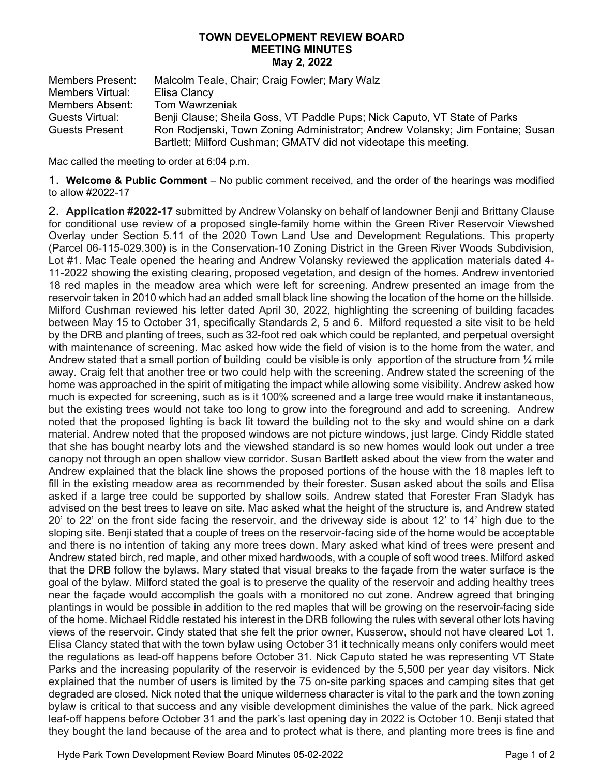## TOWN DEVELOPMENT REVIEW BOARD MEETING MINUTES May 2, 2022

| <b>Members Present:</b> | Malcolm Teale, Chair; Craig Fowler; Mary Walz                                  |
|-------------------------|--------------------------------------------------------------------------------|
| Members Virtual:        | Elisa Clancy                                                                   |
| Members Absent:         | <b>Tom Wawrzeniak</b>                                                          |
| Guests Virtual:         | Benji Clause; Sheila Goss, VT Paddle Pups; Nick Caputo, VT State of Parks      |
| <b>Guests Present</b>   | Ron Rodjenski, Town Zoning Administrator; Andrew Volansky; Jim Fontaine; Susan |
|                         | Bartlett; Milford Cushman; GMATV did not videotape this meeting.               |

Mac called the meeting to order at 6:04 p.m.

1. Welcome & Public Comment – No public comment received, and the order of the hearings was modified to allow #2022-17

2. Application #2022-17 submitted by Andrew Volansky on behalf of landowner Benji and Brittany Clause for conditional use review of a proposed single-family home within the Green River Reservoir Viewshed Overlay under Section 5.11 of the 2020 Town Land Use and Development Regulations. This property (Parcel 06-115-029.300) is in the Conservation-10 Zoning District in the Green River Woods Subdivision, Lot #1. Mac Teale opened the hearing and Andrew Volansky reviewed the application materials dated 4- 11-2022 showing the existing clearing, proposed vegetation, and design of the homes. Andrew inventoried 18 red maples in the meadow area which were left for screening. Andrew presented an image from the reservoir taken in 2010 which had an added small black line showing the location of the home on the hillside. Milford Cushman reviewed his letter dated April 30, 2022, highlighting the screening of building facades between May 15 to October 31, specifically Standards 2, 5 and 6. Milford requested a site visit to be held by the DRB and planting of trees, such as 32-foot red oak which could be replanted, and perpetual oversight with maintenance of screening. Mac asked how wide the field of vision is to the home from the water, and Andrew stated that a small portion of building could be visible is only apportion of the structure from  $\frac{1}{4}$  mile away. Craig felt that another tree or two could help with the screening. Andrew stated the screening of the home was approached in the spirit of mitigating the impact while allowing some visibility. Andrew asked how much is expected for screening, such as is it 100% screened and a large tree would make it instantaneous, but the existing trees would not take too long to grow into the foreground and add to screening. Andrew noted that the proposed lighting is back lit toward the building not to the sky and would shine on a dark material. Andrew noted that the proposed windows are not picture windows, just large. Cindy Riddle stated that she has bought nearby lots and the viewshed standard is so new homes would look out under a tree canopy not through an open shallow view corridor. Susan Bartlett asked about the view from the water and Andrew explained that the black line shows the proposed portions of the house with the 18 maples left to fill in the existing meadow area as recommended by their forester. Susan asked about the soils and Elisa asked if a large tree could be supported by shallow soils. Andrew stated that Forester Fran Sladyk has advised on the best trees to leave on site. Mac asked what the height of the structure is, and Andrew stated 20' to 22' on the front side facing the reservoir, and the driveway side is about 12' to 14' high due to the sloping site. Benji stated that a couple of trees on the reservoir-facing side of the home would be acceptable and there is no intention of taking any more trees down. Mary asked what kind of trees were present and Andrew stated birch, red maple, and other mixed hardwoods, with a couple of soft wood trees. Milford asked that the DRB follow the bylaws. Mary stated that visual breaks to the façade from the water surface is the goal of the bylaw. Milford stated the goal is to preserve the quality of the reservoir and adding healthy trees near the façade would accomplish the goals with a monitored no cut zone. Andrew agreed that bringing plantings in would be possible in addition to the red maples that will be growing on the reservoir-facing side of the home. Michael Riddle restated his interest in the DRB following the rules with several other lots having views of the reservoir. Cindy stated that she felt the prior owner, Kusserow, should not have cleared Lot 1. Elisa Clancy stated that with the town bylaw using October 31 it technically means only conifers would meet the regulations as lead-off happens before October 31. Nick Caputo stated he was representing VT State Parks and the increasing popularity of the reservoir is evidenced by the 5,500 per year day visitors. Nick explained that the number of users is limited by the 75 on-site parking spaces and camping sites that get degraded are closed. Nick noted that the unique wilderness character is vital to the park and the town zoning bylaw is critical to that success and any visible development diminishes the value of the park. Nick agreed leaf-off happens before October 31 and the park's last opening day in 2022 is October 10. Benji stated that they bought the land because of the area and to protect what is there, and planting more trees is fine and